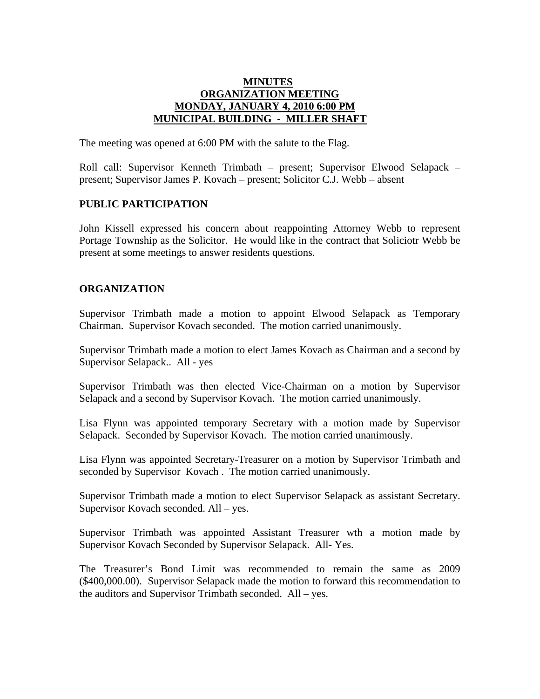## **MINUTES ORGANIZATION MEETING MONDAY, JANUARY 4, 2010 6:00 PM MUNICIPAL BUILDING - MILLER SHAFT**

The meeting was opened at 6:00 PM with the salute to the Flag.

Roll call: Supervisor Kenneth Trimbath – present; Supervisor Elwood Selapack – present; Supervisor James P. Kovach – present; Solicitor C.J. Webb – absent

## **PUBLIC PARTICIPATION**

John Kissell expressed his concern about reappointing Attorney Webb to represent Portage Township as the Solicitor. He would like in the contract that Soliciotr Webb be present at some meetings to answer residents questions.

## **ORGANIZATION**

Supervisor Trimbath made a motion to appoint Elwood Selapack as Temporary Chairman. Supervisor Kovach seconded. The motion carried unanimously.

Supervisor Trimbath made a motion to elect James Kovach as Chairman and a second by Supervisor Selapack.. All - yes

Supervisor Trimbath was then elected Vice-Chairman on a motion by Supervisor Selapack and a second by Supervisor Kovach. The motion carried unanimously.

Lisa Flynn was appointed temporary Secretary with a motion made by Supervisor Selapack. Seconded by Supervisor Kovach. The motion carried unanimously.

Lisa Flynn was appointed Secretary-Treasurer on a motion by Supervisor Trimbath and seconded by Supervisor Kovach . The motion carried unanimously.

Supervisor Trimbath made a motion to elect Supervisor Selapack as assistant Secretary. Supervisor Kovach seconded. All – yes.

Supervisor Trimbath was appointed Assistant Treasurer wth a motion made by Supervisor Kovach Seconded by Supervisor Selapack. All- Yes.

The Treasurer's Bond Limit was recommended to remain the same as 2009 (\$400,000.00). Supervisor Selapack made the motion to forward this recommendation to the auditors and Supervisor Trimbath seconded. All – yes.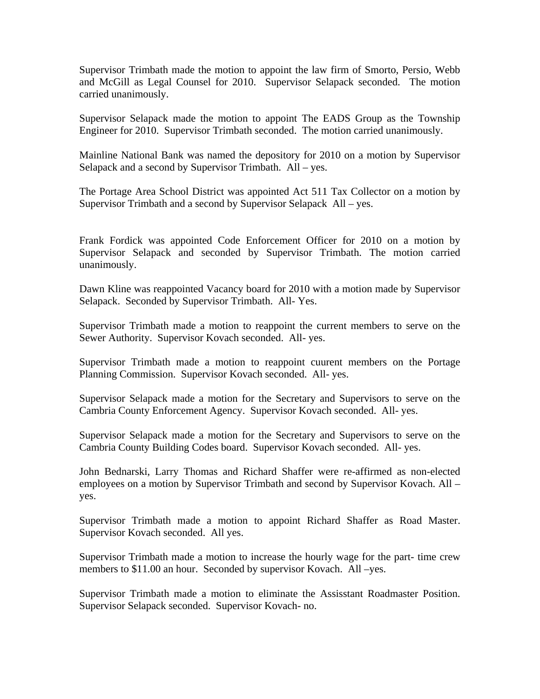Supervisor Trimbath made the motion to appoint the law firm of Smorto, Persio, Webb and McGill as Legal Counsel for 2010. Supervisor Selapack seconded. The motion carried unanimously.

Supervisor Selapack made the motion to appoint The EADS Group as the Township Engineer for 2010. Supervisor Trimbath seconded. The motion carried unanimously.

Mainline National Bank was named the depository for 2010 on a motion by Supervisor Selapack and a second by Supervisor Trimbath. All – yes.

The Portage Area School District was appointed Act 511 Tax Collector on a motion by Supervisor Trimbath and a second by Supervisor Selapack All – yes.

Frank Fordick was appointed Code Enforcement Officer for 2010 on a motion by Supervisor Selapack and seconded by Supervisor Trimbath. The motion carried unanimously.

Dawn Kline was reappointed Vacancy board for 2010 with a motion made by Supervisor Selapack. Seconded by Supervisor Trimbath. All- Yes.

Supervisor Trimbath made a motion to reappoint the current members to serve on the Sewer Authority. Supervisor Kovach seconded. All- yes.

Supervisor Trimbath made a motion to reappoint cuurent members on the Portage Planning Commission. Supervisor Kovach seconded. All- yes.

Supervisor Selapack made a motion for the Secretary and Supervisors to serve on the Cambria County Enforcement Agency. Supervisor Kovach seconded. All- yes.

Supervisor Selapack made a motion for the Secretary and Supervisors to serve on the Cambria County Building Codes board. Supervisor Kovach seconded. All- yes.

John Bednarski, Larry Thomas and Richard Shaffer were re-affirmed as non-elected employees on a motion by Supervisor Trimbath and second by Supervisor Kovach. All – yes.

Supervisor Trimbath made a motion to appoint Richard Shaffer as Road Master. Supervisor Kovach seconded. All yes.

Supervisor Trimbath made a motion to increase the hourly wage for the part- time crew members to \$11.00 an hour. Seconded by supervisor Kovach. All –yes.

Supervisor Trimbath made a motion to eliminate the Assisstant Roadmaster Position. Supervisor Selapack seconded. Supervisor Kovach- no.